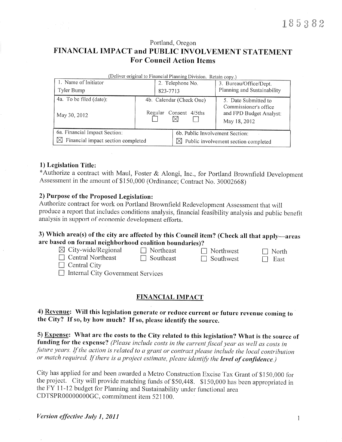Portland, Oregon

## FINANCIAL IMPACT and PUBLIC INVOLVEMENT STATEMENT **For Council Action Items**

| (Deliver original to Financial Planning Division. Retain copy.) |  |                  |                                                  |                                                                                          |  |
|-----------------------------------------------------------------|--|------------------|--------------------------------------------------|------------------------------------------------------------------------------------------|--|
| 1. Name of Initiator                                            |  | 2. Telephone No. |                                                  | 3. Bureau/Office/Dept.                                                                   |  |
| Tyler Bump                                                      |  | 823-7713         |                                                  | Planning and Sustainability                                                              |  |
| 4a. To be filed (date):<br>May 30, 2012                         |  | Regular          | 4b. Calendar (Check One)<br>Consent 4/5ths       | 5. Date Submitted to<br>Commissioner's office<br>and FPD Budget Analyst:<br>May 18, 2012 |  |
| 6a. Financial Impact Section:                                   |  |                  | 6b. Public Involvement Section:                  |                                                                                          |  |
| $\boxtimes$ Financial impact section completed                  |  |                  | $\boxtimes$ Public involvement section completed |                                                                                          |  |

#### 1) Legislation Title:

\*Authorize a contract with Maul, Foster & Alongi, Inc., for Portland Brownfield Development Assessment in the amount of \$150,000 (Ordinance; Contract No. 30002668)

#### 2) Purpose of the Proposed Legislation:

Authorize contract for work on Portland Brownfield Redevelopment Assessment that will produce a report that includes conditions analysis, financial feasibility analysis and public benefit analysis in support of economic development efforts.

## 3) Which area(s) of the city are affected by this Council item? (Check all that apply—areas are based on formal neighborhood coalition boundaries)?

| $\boxtimes$ City-wide/Regional           | $\Box$ Northeast | $\Box$ Northwest | $\Box$ North |  |
|------------------------------------------|------------------|------------------|--------------|--|
| $\Box$ Central Northeast                 | $\Box$ Southeast | $\Box$ Southwest | East         |  |
| $\Box$ Central City                      |                  |                  |              |  |
| $\Box$ Internal City Government Services |                  |                  |              |  |

## **FINANCIAL IMPACT**

4) Revenue: Will this legislation generate or reduce current or future revenue coming to the City? If so, by how much? If so, please identify the source.

5) Expense: What are the costs to the City related to this legislation? What is the source of funding for the expense? (Please include costs in the current fiscal year as well as costs in future years. If the action is related to a grant or contract please include the local contribution or match required. If there is a project estimate, please identify the level of confidence.)

City has applied for and been awarded a Metro Construction Excise Tax Grant of \$150,000 for the project. City will provide matching funds of \$50,448. \$150,000 has been appropriated in the FY 11-12 budget for Planning and Sustainability under functional area CDTSPR00000000GC, commitment item 521100.

 $\mathbf{1}$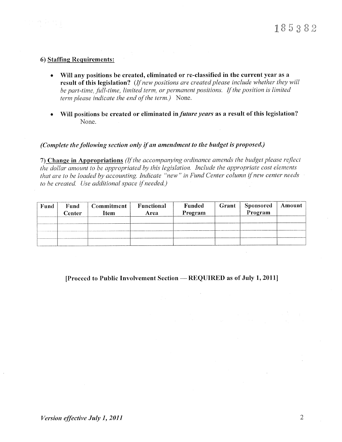#### **6) Staffing Requirements:**

- Will any positions be created, eliminated or re-classified in the current year as a result of this legislation? (If new positions are created please include whether they will be part-time, full-time, limited term, or permanent positions. If the position is limited term please indicate the end of the term.) None.
- Will positions be created or eliminated in *future years* as a result of this legislation?  $\bullet$ None.

## (Complete the following section only if an amendment to the budget is proposed.)

7) Change in Appropriations (If the accompanying ordinance amends the budget please reflect the dollar amount to be appropriated by this legislation. Include the appropriate cost elements that are to be loaded by accounting. Indicate "new" in Fund Center column if new center needs to be created. Use additional space if needed.)

| Fund | Fund<br>Center | Commitment<br>Item | Functional<br>Area | Funded<br>Program | Grant <sup>1</sup> | <b>Sponsored</b><br>Program | Amount |
|------|----------------|--------------------|--------------------|-------------------|--------------------|-----------------------------|--------|
|      |                |                    |                    |                   |                    |                             |        |
|      |                |                    |                    |                   |                    |                             |        |
|      |                |                    |                    |                   |                    |                             |        |
|      |                |                    |                    |                   |                    |                             |        |

## [Proceed to Public Involvement Section - REQUIRED as of July 1, 2011]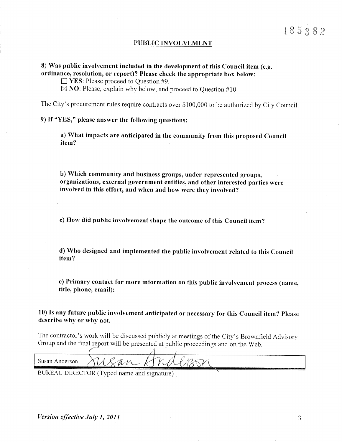#### **PUBLIC INVOLVEMENT**

## 8) Was public involvement included in the development of this Council item (e.g. ordinance, resolution, or report)? Please check the appropriate box below:

 $\Box$  YES: Please proceed to Question #9.

 $\boxtimes$  NO: Please, explain why below; and proceed to Question #10.

The City's procurement rules require contracts over \$100,000 to be authorized by City Council.

9) If "YES," please answer the following questions:

a) What impacts are anticipated in the community from this proposed Council item?

b) Which community and business groups, under-represented groups, organizations, external government entities, and other interested parties were involved in this effort, and when and how were they involved?

c) How did public involvement shape the outcome of this Council item?

d) Who designed and implemented the public involvement related to this Council item?

e) Primary contact for more information on this public involvement process (name, title, phone, email):

10) Is any future public involvement anticipated or necessary for this Council item? Please describe why or why not.

The contractor's work will be discussed publicly at meetings of the City's Brownfield Advisory Group and the final report will be presented at public proceedings and on the Web.

| Susan Anderson<br><b>AND MORE TO</b> | ----- | 17 | W |
|--------------------------------------|-------|----|---|
|                                      |       |    |   |

BUREAU DIRECTOR (Typed name and signature)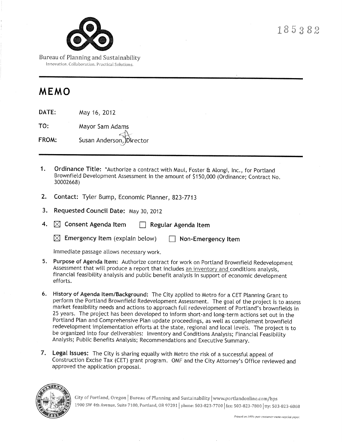

Bureau of Planning and Sustainability Innovation. Collaboration. Practical Solutions.

# MEMO

DATE: May 16, 2012

TO: Mayor Sam Adams Susan Anderson, Director FROM:

- $\mathbf{1}$ . Ordinance Title: \*Authorize a contract with Maul, Foster & Alongi, Inc., for Portland Brownfield Development Assessment in the amount of \$150,000 (Ordinance; Contract No. 30002668)
- 2. Contact: Tyler Bump, Economic Planner, 823-7713
- 3. Requested Council Date: May 30, 2012
- 4.  $\boxtimes$  Consent Agenda Item Regular Agenda Item
	- $\boxtimes$  Emergency Item (explain below)  $\Box$  Non-Emergency Item

Immediate passage allows necessary work.

- 5. Purpose of Agenda Item: Authorize contract for work on Portland Brownfield Redevelopment Assessment that will produce a report that includes an inventory and conditions analysis. financial feasibility analysis and public benefit analysis in support of economic development efforts.
- 6. History of Agenda Item/Background: The City applied to Metro for a CET Planning Grant to perform the Portland Brownfield Redevelopment Assessment. The goal of the project is to assess market feasibility needs and actions to approach full redevelopment of Portland's brownfields in 25 years. The project has been developed to inform short-and long-term actions set out in the Portland Plan and Comprehensive Plan update proceedings, as well as complement brownfield redevelopment implementation efforts at the state, regional and local levels. The project is to be organized into four deliverables: Inventory and Conditions Analysis; Financial Feasibility Analysis; Public Benefits Analysis; Recommendations and Executive Summary.
- 7. Legal Issues: The City is sharing equally with Metro the risk of a successful appeal of Construction Excise Tax (CET) grant program. OMF and the City Attorney's Office reviewed and approved the application proposal.



City of Portland, Oregon | Bureau of Planning and Sustainability | www.portlandonline.com/bps 1900 SW 4th Avenue, Suite 7100, Portland, OR 97201 | phone: 503-823-7700 | fax: 503-823-7800 | tty: 503-823-6868